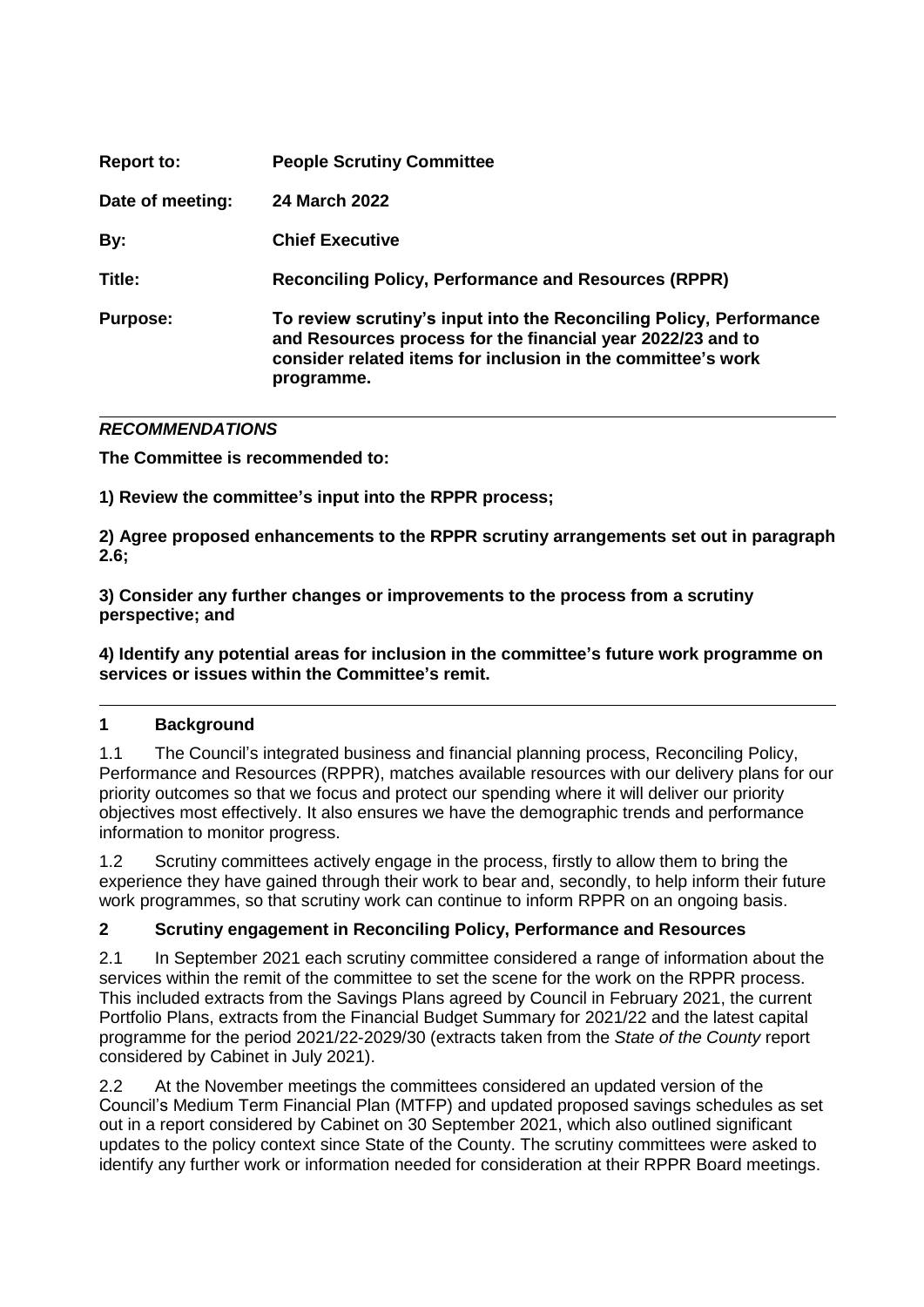| <b>Report to:</b> | <b>People Scrutiny Committee</b>                                                                                                                                                                                 |
|-------------------|------------------------------------------------------------------------------------------------------------------------------------------------------------------------------------------------------------------|
| Date of meeting:  | 24 March 2022                                                                                                                                                                                                    |
| By:               | <b>Chief Executive</b>                                                                                                                                                                                           |
| Title:            | <b>Reconciling Policy, Performance and Resources (RPPR)</b>                                                                                                                                                      |
| <b>Purpose:</b>   | To review scrutiny's input into the Reconciling Policy, Performance<br>and Resources process for the financial year 2022/23 and to<br>consider related items for inclusion in the committee's work<br>programme. |

# *RECOMMENDATIONS*

**The Committee is recommended to:**

**1) Review the committee's input into the RPPR process;**

**2) Agree proposed enhancements to the RPPR scrutiny arrangements set out in paragraph 2.6;**

**3) Consider any further changes or improvements to the process from a scrutiny perspective; and** 

**4) Identify any potential areas for inclusion in the committee's future work programme on services or issues within the Committee's remit.**

# **1 Background**

1.1 The Council's integrated business and financial planning process, Reconciling Policy, Performance and Resources (RPPR), matches available resources with our delivery plans for our priority outcomes so that we focus and protect our spending where it will deliver our priority objectives most effectively. It also ensures we have the demographic trends and performance information to monitor progress.

1.2 Scrutiny committees actively engage in the process, firstly to allow them to bring the experience they have gained through their work to bear and, secondly, to help inform their future work programmes, so that scrutiny work can continue to inform RPPR on an ongoing basis.

# **2 Scrutiny engagement in Reconciling Policy, Performance and Resources**

2.1 In September 2021 each scrutiny committee considered a range of information about the services within the remit of the committee to set the scene for the work on the RPPR process. This included extracts from the Savings Plans agreed by Council in February 2021, the current Portfolio Plans, extracts from the Financial Budget Summary for 2021/22 and the latest capital programme for the period 2021/22-2029/30 (extracts taken from the *State of the County* report considered by Cabinet in July 2021).

2.2 At the November meetings the committees considered an updated version of the Council's Medium Term Financial Plan (MTFP) and updated proposed savings schedules as set out in a report considered by Cabinet on 30 September 2021, which also outlined significant updates to the policy context since State of the County. The scrutiny committees were asked to identify any further work or information needed for consideration at their RPPR Board meetings.